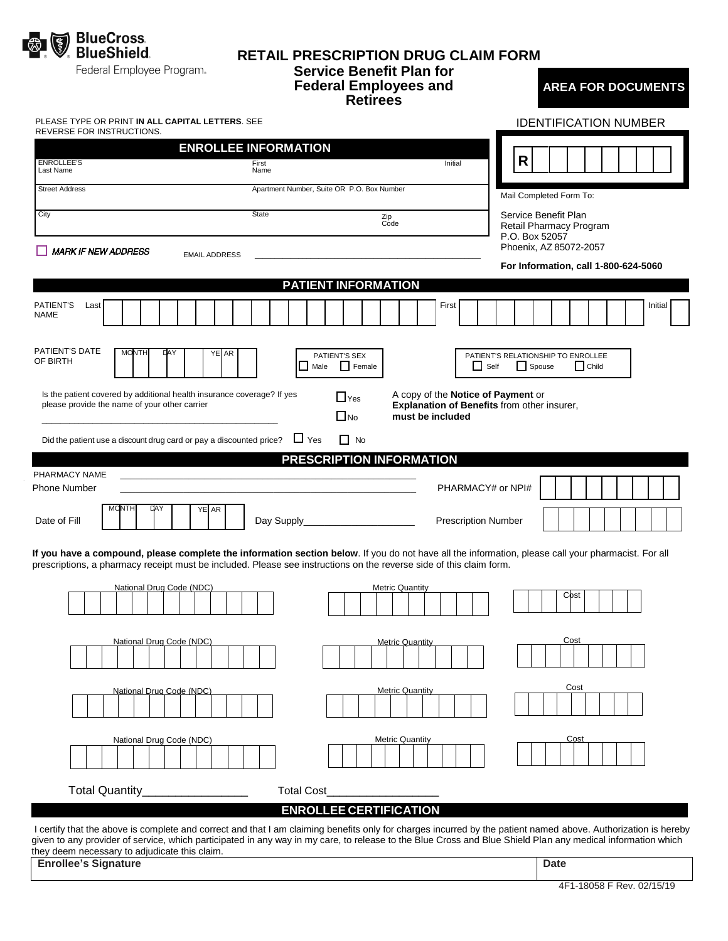

#### **RETAIL PRESCRIPTION DRUG CLAIM FORM Service Benefit Plan for Federal Employees and Retirees AREA FOR DOCUMENTS**

### PLEASE TYPE OR PRINT **IN ALL CAPITAL LETTERS**. SEE IDENTIFICATION NUMBER REVERSE FOR INSTRUCTIONS. **ENROLLEE INFORMATION R** ENROLLEE'S Initial First Name Last Name Street Address **Apartment Number, Suite OR P.O. Box Number** Mail Completed Form To: Service Benefit Plan City **State City State** State **Zip** Zip<br>Code Retail Pharmacy Program P.O. Box 52057 Phoenix, AZ 85072-2057 **MARK IF NEW ADDRESS** EMAIL ADDRESS **For Information, call 1-800-624-5060 PATIENT INFORMATION** PATIENT'S Last First Initial NAME PATIENT'S DATE MONTH DAY YE AR PATIENT'S SEX PATIENT'S RELATIONSHIP TO ENROLLEE OF BIRTH П Male Female Self Spouse Child Yes Is the patient covered by additional health insurance coverage? If yes A copy of the **Notice of Payment** or please provide the name of your other carrier **Explanation of Benefits** from other insurer,  $\Box$ No **must be included** \_\_\_\_\_\_\_\_\_\_\_\_\_\_\_\_\_\_\_\_\_\_\_\_\_\_\_\_\_\_\_\_\_\_\_\_\_\_\_\_\_\_\_\_\_\_\_\_\_\_\_ Did the patient use a discount drug card or pay a discounted price?  $\Box$  Yes  $\Box$  No **PRESCRIPTION INFORMATION** PHARMACY NAME Phone Number \_\_\_\_\_\_\_\_\_\_\_\_\_\_\_\_\_\_\_\_\_\_\_\_\_\_\_\_\_\_\_\_\_\_\_\_\_\_\_\_\_\_\_\_\_\_\_\_\_\_\_\_\_\_\_\_ PHARMACY# or NPI# MONTH DAY YE AR Date of Fill Day Supply\_\_\_\_\_\_\_\_\_\_\_\_\_\_\_\_\_\_\_\_\_ Prescription Number **If you have a compound, please complete the information section below**. If you do not have all the information, please call your pharmacist. For all prescriptions, a pharmacy receipt must be included. Please see instructions on the reverse side of this claim form. National Drug Code (NDC) National Drug Code (NDC) National Drug Code (NDC) ost **National Drug Code (NDC Metric Quantity** Metric Quantity Cost **.** National Drug Code (NDC) Metric Quantity National Drug Code (NDC) Total Quantity Total Cost **ENROLLEE CERTIFICATION**

I certify that the above is complete and correct and that I am claiming benefits only for charges incurred by the patient named above. Authorization is hereby given to any provider of service, which participated in any way in my care, to release to the Blue Cross and Blue Shield Plan any medical information which they deem necessary to adjudicate this claim.

**Enrollee's Signature Date**